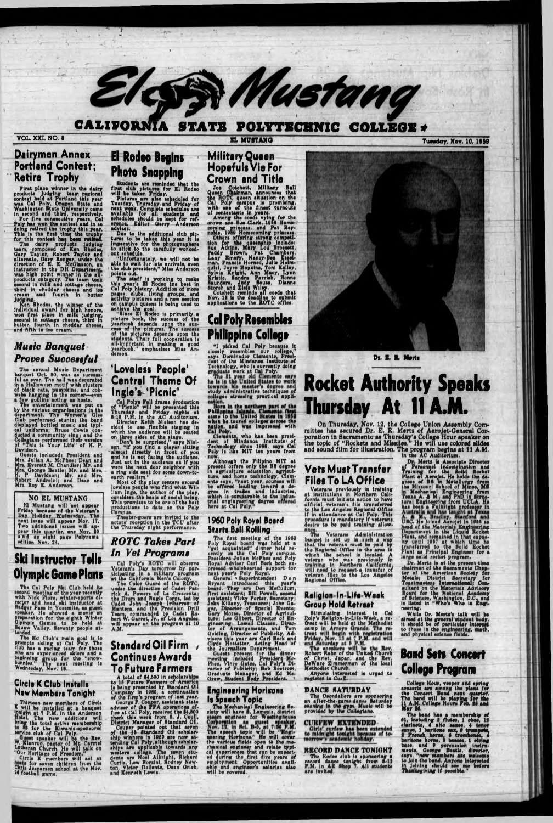# **CALIFORNIA STATE** POLYTECHNIC COLLEGE

EL MUSTANG

Eless Mustang

# **Dairymen Annex Portland Contest: Retire Trophy**

Nettice I FOPITY<br>First place winner in the dairy<br>products judging team regional<br>contest held at Portland this year<br>was Cal Poly. Organ state and<br>Washington state University came<br>in second and third, respectively.<br>For five

oream and routen in butter<br>judging.<br>Men Rhodes, the winner of the<br>individual award for high honors,<br>won first place in milk judging,<br>second in cottage cheese, third in<br>butter, fourth in cheddar cheese,<br>and fith in ice crea

# **Music Banquet Proves Successful**

The annual Music Department<br>
The annual Music Department<br>
banquet Oct. 80, was as aucosas-<br>
ful as ever. The hall was decorated<br>
in a Halloween motif with cluster<br>
of black cats, pumpkins, and cob-<br>
webs hanging in the cor Davidson.

Davidson.<br>
Guesta included: President and<br>
Mrs. Julian A. McPhee; Dean and<br>
Mrs. Everett M. Chandler; Mr. and<br>
Mrs. George Beatie; Mr. and Mrs.<br>
H. P. Davidson; Mr. and Mrs.<br>
Robert Andreini; and Dean and<br>
Mrs. Roy E. Ande

# NO EL MUSTANG

El Musikang will not appear<br>Friday because of the Veteran's<br>Day Hollday Wafassday. The<br>next issue will appear Nov. 17.<br>Two additional issues will appear this quarter, one Nov. 10<br>and an eight page Polyrama<br>edition Nov. 24.

# **El Rodeo Begins Photo Snapping**

Students are reminded that the<br>first club pictures for El Rodeo<br>will be taken Friday.<br>Pictures are since a<br>cheduled for<br>Tuesday, Thursday and Friday-of<br>next week. Complete schedules are<br>available for all students and<br>sched advises.

advises.<br>
Due to the additional club pic-<br>
Due to be taken this year it is<br>
imperative for the photographers<br>
to stick to the carefully worked-<br>
out schedule.<br>
"Unfortunately, we will not be<br>
able to wait for late arrivals

the club president," Miss Anderson<br>points out.<br>The staff is working to make<br>this year's El Rodgo the best in<br>cal Poly history. Addition of more<br>pages, clubs, living groups, and<br>activity pictures and a new section<br>on campus derson.

# 'Loveless People' **Central Theme Of** Ingle's 'Picnic'

Ingle S- Picnic<br>
Cal Polys Fall drama production<br>
of "Pionio" will be presented this<br>
Thursday and Friday nights at<br>
5115 P.M. In the AC Auditorium.<br>
Director Keith Nielsen has de-<br>
cided to use fixible staging in<br>
which t

productions to date on the Poly Campus.

Theater-gours are invited to the<br>actors' reception in the TCU after<br>the Thursday night performance.

# **Military Queen Hopefuls Vie For Crown and Title**

Crown and Title<br>Joe Cotchett, Military .Ball<br>Queen Chairman, announces that<br>the ROTC queen situation on the<br>Cal Poly campus is promising,<br>with one of the finest turnouts<br>of contestants in years.<br>Among the coeds vying for t

# **Cal Poly Resembles Philippine College**

"I picked Cal Poly because it<br>closely reaembles our college,"<br>nays Dominador Clemente, President of the Mindanoa Institute of<br>Technology, who is currently doing<br>graduate work at Cal Poly.<br>The bi year old Clemente may<br>he is

Clements, who has been president of Mindanoa Institute of<br>Technology since 1958, says Cal<br>Poly is like MIT ten years from

Although the Filipino MIT at<br>present offers only the BB degree<br>in agriculture education, agricul-<br>ture, and home technology, Clem-<br>enter any, "next year, courses will<br>be offered leading toward a degree in trades and indust

# 1960 Poly Royal Board **Starts Ball Rolling**

# Dr. E. R. Mortz

# **Rocket Authority Speaks** Thursday At 11

On Thursday, Nov. 12, the College Union Assembly Committee has secured Dr. E. R. Mertz of Aerojet-General Corporation in Sacramento as Thursday's College Hour speaker on the topic of "Rockets and Missiles." He will use col

# **Vets Must Transfer Files To LA Office**

Veterans previously in training<br>t institutions in Northern Cali-<br>at institutions in Northern Cali-<br>fornia must initiate action to have<br>official veteran's file transferred<br>to the Los Angeles Regional Office<br>if in attendance desire to be paid training allow-

ance.<br>The Veterans Administration The Veterans Administration<br>budget is set up in such a way<br>that the veteran must be paid by<br>the Regional Office in the sread in<br>which the school is located. A<br>veteran who was previously in<br>training in Northern California,<br>

**Tuesday, Nov. 10, 1959** 

in the AC Auditorium.<br>
D. Merts is Associate Director<br>
of Personnal Indootrination and<br>
Training for the Solid Roshst<br>
Plant at Aerojet. He holds the de-<br>
grees of BS in Metallurgy from<br>
the Missouri Eshol of Mines, MS<br>
th large solid rocket program.<br>
Dr. Merts is at the present time<br>
chairman of the Sacramento Chap-<br>
ter of the Merican Society for<br>
Metals: District Secretary for<br>
Toastmasters International; Con-<br>
sultant on the Materials Ad neering, While Dr. Merts's talk will be almed at the general student hedy, it should be of particular interest to those in the engineering, math, and physical science fields.

edition Nov. 24.

# **Ski Instructor Tells Olympic Game Plans**

The Cal Poly Ski Club held its<br>second meeting of the year recently<br>with Nick Flore, winter-sports di-<br>rector and head ski instructor at<br>Badger Pass in Youndte, as guest<br>spaker. He showed a movie on<br>preparation for the eigh

# **Circle K Club Installs New Members Tonight**

Thirteen new members of Circle K will be installed at a banquet<br>tonight at 7 P.M. in the Anderson<br>Hotel. The new additions will<br>bring the total active membership<br>bring the total active membership<br>to dist for the Kiwanis-ap

 $-121$ 

# **ROTC Takes Part** In Vet Programs

Cal Poly's ROTC will observe<br>Veteran's Day tomorrow by par-<br>ticipating in a military program<br>at the California Men's Colony.<br>The Color Guard of the ROTC,<br>under the direction of Cadet Pat-<br>under the Movern of La Creacenta;<br>

# Standard Oil Firm **Continues Awards To Future Farmers**

IOPUTUTE PSTMCTS<br>A total of \$4.500 in scholarships<br>to 16 Future Farmers of America<br>is being presented by Standard Oil<br>Company in 1960, a continuation<br>of the firm's program of last year.<br>George P. Couper, assistant state<br>do

Starts Ball Rolling<br>The first meeting of the 1960<br>Poly Royal board was held at a<br>"get acquainted" dinner held re-<br>cently on the Cal Poly campus.<br>President Julian McPhee and Poly<br>Royal Adviser Carl Beck both ex-<br>pressed who

# **Engineering Horizons** Is Speech Topic

The Mechanical Engineering Society will have S. Lemesia, district clety will have **8**. Lemesia, district<br>tiam engineer for Weatinghause<br>Cornoring and topic will be "Engineer"<br>The speech topic will be "Engineer"<br>meeting Horizons." He will cover<br>the various fields open to the machanical en

 $77.74$ 

 $+$   $+$   $+$  $\mathcal{N}(\mathcal{A})$ 

# Raligion-In-Life-Wack **Group Hold Retreat**

Stroup Proto Kerrear<br>
Stimulating interest in Cal<br>
Poly's Religion-in-Life-Week, a re-<br>
freat will be held at the Methodist<br>
camp in Arroyo Grande. The re-<br>
treat will begin with registration<br>
Friday, Nov. 13 at 7 P.M.<br>
an

# DANCE SATURDAY

The Osondaliers are sponsoring<br>an after-the-game-dange Saturday<br>evening in the gym. Music will be<br>provided by the Collegians.

CURFEW EXTENDED Girls' curfew has been extended<br>to midnight tonight because of to-<br>morrow's academic holiday.

RECORD DANCE TONIGHT

The Rodeo slub is sponsoring a<br>record dance tonight from 6-11<br>P.M. in AE Shep 7. All students<br>are invited.

# **Band Sets Concert College Program**

College Hour, vesper and spring conserts are among the plans for<br>the Consert Band next quarter.<br>The band will be playing for the<br>11 A.M. College Heurs Feb. 25 and<br>May 24.

May 26.<br>The band has a membership of<br>61, including 3 flutes, 1 obec, 13<br>clarinots, 4 alto saxes, 4<br>xec, 1 beritons sax, 6 trompote,<br>3 french hernes, 6 trombones, 4<br>baritons horne, 5 basees, 1 ctring<br>base. and 9 percussion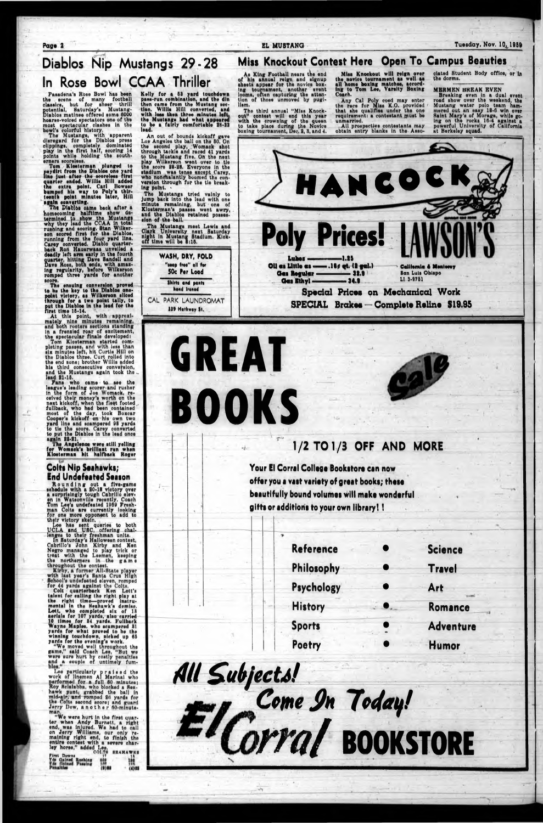Page 2 **Page 2 EL MUSTANG** Tuesday, Nov. 10<sup>1959</sup>

# Diablos Nip Mustangs 29-28 In Rose Bowl CCAA Thriller

**Miss Knockout Contest Here Open To Campus Beauties**

As King Football nears the end of hla annual reign and signup sheets appaar for tne novloo boxing tournamsnt, anothar avent looma, often capturing the attentlon of thoaa unmovad by pugl-Ham.

Pasadena's Rose Bowl has been<br>the scene of many football tha acone of many football olaaalcai but for sneer thrill potential, Saturday's Mustang-<br>Diablos\_matinee\_offered\_some\_6000<br>hoarse-voiced\_spectators\_one\_of\_the ilabloa matlnaa offarad aoma 0000 oarse-voiced spectators one of the moat spectacular daahea In tho bowl'a colorful hlatory.

Tho Muatanga, with apparvnt dlaragard for tho Diabloa proaa clippings, completely dominated play In the flrat half, aoorlng 14 points while holding the southernera acoroloaa,

Tho third annual "Mlaa Knockout" oontaat will and thla yaar with the crowning of the queen to tako plaoa during (ha Novicu boxing tournainont, Uoc. 9, 8, and 4.

The Diablos came is rmlnad to ahi mo back after a ahow dotermined to show the Mustangs why they load the CCAA In total rushing and aoorlng. Stan WUkaraon acorad flrat for the Diabloa, running from the four yard Una. Carey converted. Diablo quarterback Ron Hauarwaaa unveiled a deadly left arm early In tha fourth quarter, hitting Dave Sandall and Dave Roas, both ends, with amaz-Ing regularity, before Wllkeraon romped three yarda for anothar

An out of bounda kickoff gave Loe Angelas the ball on the 60. On the second play, Womack shot through tackle and raced 41 yards to tho Mustang five. On the next play Wllkeraon want over to tie the score 98-88. Kvoryone In the atadlum was tense except Carey, who nonchalantly boomed the con**version** through for the tie breaking point.

The Mustanga tried vainly to Jump back Into tha lead with one minute remaining, but one of Klostorman's paaaaa wont awry, and tho Diabloa retained possession of the ball.

Tom Klootarman plunged to imydlrt from tha Diabloa one yard lino Juat after the aeoreleea flrat quarter ended. Willla Hill added the extra point. Carl Howser bumped hla way to Poly'a thlrteenth point minutes later, Hill again converting.

> moat Lewis and next Saturday Stadium. Kickaion of the ball.<br>The Mustangs meet Clark University nan night In Muatang Sta off time will be  $\overline{\mathbf{a}}_i$  15.

-All prospective contestants may obtain entry blanks In tho Asso-

touchdown had what appeared comfortable 98-22 Kelly for a 66 yard paaa-run combination, and tho din then came from the Mustang section. Willla Hill converted, and with leas then three minutes left the Muatanga to be a fairly lead.

aoora. The onaulng conversion proved to be the key to the Diablos onepoint victory, as Wilkerson silced<br>through for a two point tally, to<br>put the Diablos in the lead for the ough for a two point tally, to the Diablos in the lead for the flrat time 16\*14.

# Colts Nip Seahawks; End Undofeattd Saaion

Colt quarterback Ken Lott's talent for calling the right play at the right time—proved Instrumental In the Heanawk's demise. Lott, who completed aix of 18 aerials for 107 yarda, also carried 10 times for 84 yarda. Pullback Wayne Maples, who scampered 81 yards for what proved to be the winning touchdown, nicked up 66 yards for the evening's work.

Mlaa Knockout will reign over tha novice tournamant aa wall aa all noma boxing matchaa, according to Tom Lea, Varsity Boxing Coach.

Any Cal Poly coed may enter the ruce for Mlaa K.O. provided that ahe qualifies under tho one requirement: a contestant muat bo unmarried,

ciated Student Body office, or In tho dorms.

# MERMEN BREAK EVEN

««\*  $(4)22$ 

**WASH, DRY, FOLD** "seep free" ell fee **50c Per Load Shirts and pents** head Ironed CAL PARK LAUNDROMAT 119 Hathway St.

Breaking even in a dual event road ahow over tho weekend, tha Mustang water polo team hammered out an easy 18-0 win over Saint Mary's of Moraga, while going on tha rocks 10-4 against a powerful University of California at Herkoley squad.

**Reference • Science Philosophy • Travel** 

approx!- At this point, with approxi-<br>ately nine minutes remaining, mately nine mlnutaa r and both rooters sections standing In a franslod roar of oxcltemeni, the apactacular finals developed i

Tom Kloatorman started completing paaaaa. and with leaa than six minutes left, hit Curtis Hill on the Diablos three. Curt rolled Into the end sone; brother Willis added his third consecutive conversion, his third conaooutive conversion, and the Mustangs again took tho load 91-16.

Fans who came to see the league's leading scorer and rusher in the form of Joe Womack, received their money's worth on the next kickoff, when the fleqt footed , fullback, who had been contained most of the day, took Boxcar Coopor'a kickoff on hla own two yard line and soamperod 98 yarda to tie the aooro. Carey converted to put the Diabloa In the lead once again 99-91, .

The Angelenos were still yelling for Womack's brilliant run when Klootarman hit halfback Roger

Rounding schedule with a a surprisingly **t** Tom man out a five-game a 90-18 victory over Cabrlllo elov-Coach tough an In Watsonville recentl  $\mathbf{I}$ for one more opponent to add to tly, Coach Lee's undefeated 1969 Fresh-Colts are currently looking their victory skein.

Lee has sent queries to both<br>UCLA and USC, offering chal-<br>lenges to their freshman units. CLA and USC, offering chal-<br>ages to their freshman units.<br>In Saturday's Halloween contest,

*W a r n im n* Kirby and Ken to play trick or Cabrlllo'a Negro managed to play treat with the Loemon, keeping tho northerners In the game throughout tho contest.

Kirby, a former All-State player with last year's Santa Crus High School's undefeated eleven, romped for 44 yarda against the Colts.

"We moved well throughout the game," said Coach Lee, "But we were sure hurt by costly penalties and ^a couple of untimely fum-

Lee particularly praised the work of linemen Al Marlnal who performed for a full 80 minutes: Roy Hclalshba, who blocked a Seahawk punt, grabbed the ball in mid-air, and romped 26 yards for the Colts second score; and guard Jerry Dow, another flO-mlnuteman,

"We were hurt In the flrat quarter when Andy Burnett, a right end, was Injured. We had to call on Jerry Williams, our only remaining right end, to finish the entire contest with a severe charley horse," added Lee, COLTA ERAHAWKS<br>BKAHAWKS 17 12<br>BKAHAWKS 17 First Downs<br>Yde Gained Rushing<br>Tds (Inined Passing IM



GREAT

BOOKS

# **1/2 TO 1/3 OFF AND MORE**

Your El Corral Collogo Bookitoro can now offer you a vast variety of great books; these beautifully bound volumoi will mako wondorful gifts or additions to your own library!!

**Psychology • Art**

٠

History **Romance** 

**Sports • Adventure**

**Poetry** <sup>w</sup> **Humor**

*fill £u b /ecU l* Come *Jn* Today! *m l* BOOKSTORE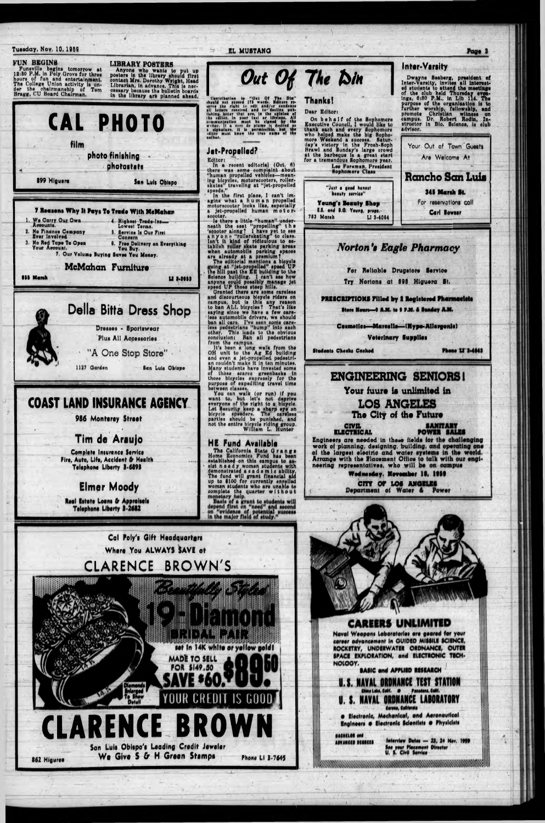# Tuesday, Nov. 10, 1959



**Real Estate Loans & Appraisals** Telephone Liberty 3-2682

**Elmer Moody** 

Cal Poly's Gift Headquarters



Page 3

# Where You ALWAYS SAVE at CLARENCE BROWN'S



**CAREERS UNLIMITED** Naval Weapons Laboratories are geared for your career advancement in GUIDED MISSILE SCIENCE, ROCKETRY, UNDERWATER ORDNANCE, OUTER SPACE EXPLORATION, and ELECTRONIC TECH-NOLOGY. BASIC and APPLIED RESEARCH U.S. NAVAL ORDNANCE TEST STATION China Lake, Calif. . Pasadena, Calif. NAVAL ORDNANCE LABORATORY Corona, California · Electronic, Mechanical, and Aeronautical Engineers @ Electronic Scientists @ Physicists **BACHELOR and Interview Dates - 23, 24 Nov. 1959** ADVANCED DEGREES See your Placement Director<br>U. S. Civil Service